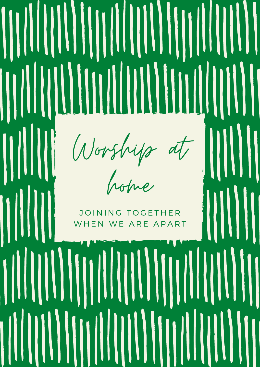# Worship at

home

JOINING TOGETHER WHEN WE ARE APART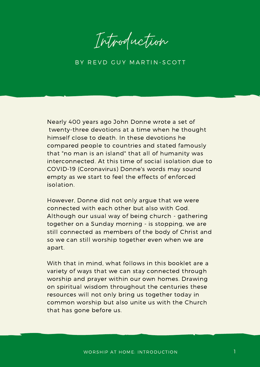Introduction

BY REVD GUY MARTIN-SCOTT

Nearly 400 years ago John Donne wrote a set of twenty-three devotions at a time when he thought himself close to death. In these devotions he compared people to countries and stated famously that "no man is an island" that all of humanity was interconnected. At this time of social isolation due to COVID-19 (Coronavirus) Donne's words may sound empty as we start to feel the effects of enforced isolation.

However, Donne did not only argue that we were connected with each other but also with God. Although our usual way of being church - gathering together on a Sunday morning - is stopping, we are still connected as members of the body of Christ and so we can still worship together even when we are apart.

With that in mind, what follows in this booklet are a variety of ways that we can stay connected through worship and prayer within our own homes. Drawing on spiritual wisdom throughout the centuries these resources will not only bring us together today in common worship but also unite us with the Church that has gone before us.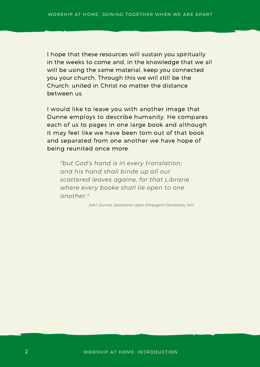I hope that these resources will sustain you spiritually in the weeks to come and, in the knowledge that we all will be using the same material, keep you connected you your church. Through this we will still be the Church: united in Christ no matter the distance between us.

I would like to leave you with another image that Dunne employs to describe humanity. He compares each of us to pages in one large book and although it may feel like we have been torn out of that book and separated from one another we have hope of being reunited once more.

*"but God's hand is in every translation; and his hand shall binde up all our scattered leaves againe, for that Librarie where every booke shall lie open to one another."*

*John Dunne, Devotions Upon Emergent Occasions, XVII*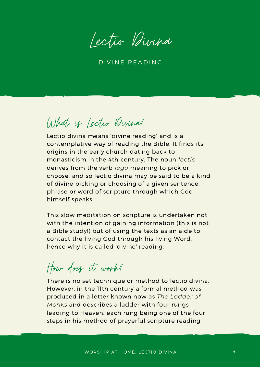Lectio Divina

D I V I N E R E A D I N G

What is lectio Divina?

Lectio divina means 'divine reading' and is a contemplative way of reading the Bible. It finds its origins in the early church dating back to monasticism in the 4th century. The noun *lectio* derives from the verb *lego* meaning to pick or choose; and so lectio divina may be said to be a kind of divine picking or choosing of a given sentence, phrase or word of scripture through which God himself speaks.

This slow meditation on scripture is undertaken not with the intention of gaining information (this is not a Bible study!) but of using the texts as an aide to contact the living God through his living Word, hence why it is called 'divine' reading.

How does it work?

There is no set technique or method to lectio divina. However, in the 11th century a formal method was produced in a letter known now as *The Ladder of Monks* and describes a ladder with four rungs leading to Heaven, each rung being one of the four steps in his method of prayerful scripture reading.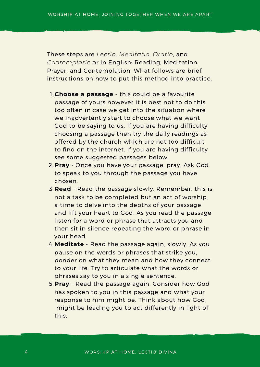These steps are *Lectio*, *Meditatio*, *Oratio*, and *Contemplatio* or in English: Reading, Meditation, Prayer, and Contemplation. What follows are brief instructions on how to put this method into practice.

- **Choose a passage** this could be a favourite 1. passage of yours however it is best not to do this too often in case we get into the situation where we inadvertently start to choose what we want God to be saying to us. If you are having difficulty choosing a passage then try the daily readings as offered by the church which are not too difficult to find on the internet. If you are having difficulty see some suggested passages below.
- **Pray** Once you have your passage, pray. Ask God 2. to speak to you through the passage you have chosen.
- 3. Read Read the passage slowly. Remember, this is not a task to be completed but an act of worship, a time to delve into the depths of your passage and lift your heart to God. As you read the passage listen for a word or phrase that attracts you and then sit in silence repeating the word or phrase in your head.
- **Meditate** Read the passage again, slowly. As you 4. pause on the words or phrases that strike you, ponder on what they mean and how they connect to your life. Try to articulate what the words or phrases say to you in a single sentence.
- 5. Pray Read the passage again. Consider how God has spoken to you in this passage and what your response to him might be. Think about how God might be leading you to act differently in light of this.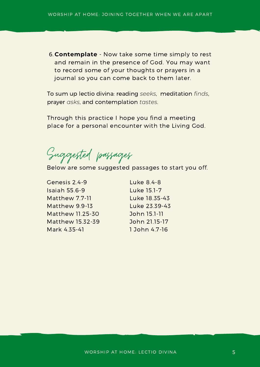**Contemplate** - Now take some time simply to rest 6. and remain in the presence of God. You may want to record some of your thoughts or prayers in a journal so you can come back to them later.

To sum up lectio divina: reading *seeks*, meditation *finds*, prayer *asks*, and contemplation *tastes*.

Through this practice I hope you find a meeting place for a personal encounter with the Living God.

Suggested passages

Below are some suggested passages to start you off.

Genesis 2.4-9 Isaiah 55.6-9 Matthew 7.7-11 Matthew 9.9-13 Matthew 11.25-30 Matthew 15.32-39 Mark 4.35-41

Luke 8.4-8 Luke 15.1-7 Luke 18.35-43 Luke 23.39-43 John 15.1-11 John 21.15-17 1 John 4.7-16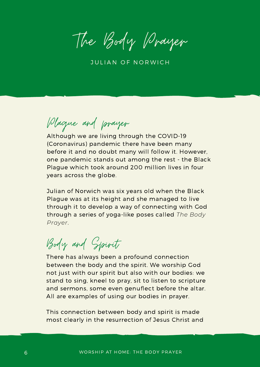The Body Prayer

**JULIAN OF NORWICH** 

Plague and prayer

Although we are living through the COVID-19 (Coronavirus) pandemic there have been many before it and no doubt many will follow it. However, one pandemic stands out among the rest - the Black Plague which took around 200 million lives in four years across the globe.

Julian of Norwich was six years old when the Black Plague was at its height and she managed to live through it to develop a way of connecting with God through a series of yoga-like poses called *The Body Prayer*.

Body and Spirit

There has always been a profound connection between the body and the spirit. We worship God not just with our spirit but also with our bodies: we stand to sing, kneel to pray, sit to listen to scripture and sermons, some even genuflect before the altar. All are examples of using our bodies in prayer.

This connection between body and spirit is made most clearly in the resurrection of Jesus Christ and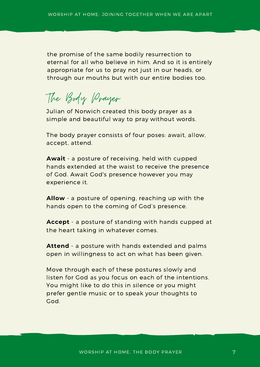the promise of the same bodily resurrection to eternal for all who believe in him. And so it is entirely appropriate for us to pray not just in our heads, or through our mouths but with our entire bodies too.

The Body Prayer

Julian of Norwich created this body prayer as a simple and beautiful way to pray without words.

The body prayer consists of four poses: await, allow, accept, attend.

**Await** - a posture of receiving, held with cupped hands extended at the waist to receive the presence of God. Await God's presence however you may experience it.

**Allow** - a posture of opening, reaching up with the hands open to the coming of God's presence.

**Accept** - a posture of standing with hands cupped at the heart taking in whatever comes.

**Attend** - a posture with hands extended and palms open in willingness to act on what has been given.

Move through each of these postures slowly and listen for God as you focus on each of the intentions. You might like to do this in silence or you might prefer gentle music or to speak your thoughts to God.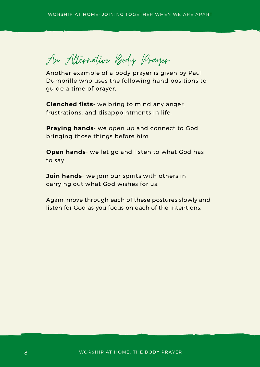An Alternative Body Prayer

Another example of a body prayer is given by Paul Dumbrille who uses the following hand positions to guide a time of prayer.

**Clenched fists**- we bring to mind any anger, frustrations, and disappointments in life.

**Praying hands**- we open up and connect to God bringing those things before him.

**Open hands**- we let go and listen to what God has to say.

**Join hands**- we join our spirits with others in carrying out what God wishes for us.

Again, move through each of these postures slowly and listen for God as you focus on each of the intentions.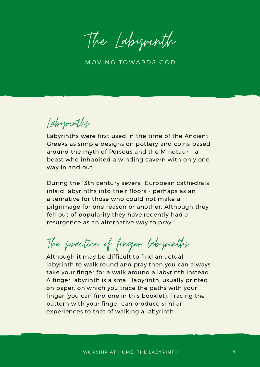The Labyrinth

MOVING TOWARDS GOD

Labyrinths

Labyrinths were first used in the time of the Ancient Greeks as simple designs on pottery and coins based around the myth of Perseus and the Minotaur - a beast who inhabited a winding cavern with only one way in and out.

During the 13th century several European cathedrals inlaid labyrinths into their floors - perhaps as an alternative for those who could not make a pilgrimage for one reason or another. Although they fell out of popularity they have recently had a resurgence as an alternative way to pray.

The practice of finger labyrinths

Although it may be difficult to find an actual labyrinth to walk round and pray then you can always take your finger for a walk around a labyrinth instead. A finger labyrinth is a small labyrinth, usually printed on paper, on which you trace the paths with your finger (you can find one in this booklet). Tracing the pattern with your finger can produce similar experiences to that of walking a labyrinth.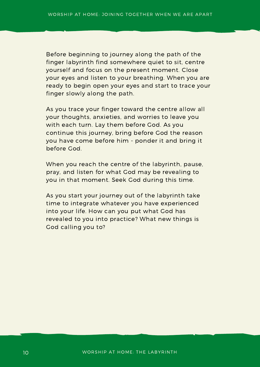Before beginning to journey along the path of the finger labyrinth find somewhere quiet to sit, centre yourself and focus on the present moment. Close your eyes and listen to your breathing. When you are ready to begin open your eyes and start to trace your finger slowly along the path.

As you trace your finger toward the centre allow all your thoughts, anxieties, and worries to leave you with each turn. Lay them before God. As you continue this journey, bring before God the reason you have come before him - ponder it and bring it before God.

When you reach the centre of the labyrinth, pause, pray, and listen for what God may be revealing to you in that moment. Seek God during this time.

As you start your journey out of the labyrinth take time to integrate whatever you have experienced into your life. How can you put what God has revealed to you into practice? What new things is God calling you to?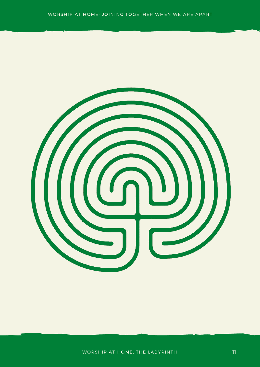#### WORSHIP AT HOME: JOINING TOGETHER WHEN WE ARE APART



WORSHIP AT HOME: THE LABYRINTH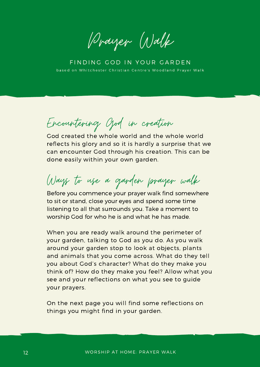Prayer Walk

FINDING GOD IN YOUR GARDEN based on Whitchester Christian Centre's Woodland Prayer Walk

Encountering God in creation

God created the whole world and the whole world reflects his glory and so it is hardly a surprise that we can encounter God through his creation. This can be done easily within your own garden.

Ways to use a garden prayer walk

Before you commence your prayer walk find somewhere to sit or stand, close your eyes and spend some time listening to all that surrounds you. Take a moment to worship God for who he is and what he has made.

When you are ready walk around the perimeter of your garden, talking to God as you do. As you walk around your garden stop to look at objects, plants and animals that you come across. What do they tell you about God's character? What do they make you think of? How do they make you feel? Allow what you see and your reflections on what you see to guide your prayers.

On the next page you will find some reflections on things you might find in your garden.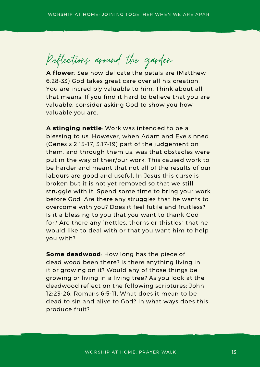Reflections around the garden

**A flower**: See how delicate the petals are (Matthew 6:28-33) God takes great care over all his creation. You are incredibly valuable to him. Think about all that means. If you find it hard to believe that you are valuable, consider asking God to show you how valuable you are.

**A stinging nettle**: Work was intended to be a blessing to us. However, when Adam and Eve sinned (Genesis 2:15-17, 3:17-19) part of the judgement on them, and through them us, was that obstacles were put in the way of their/our work. This caused work to be harder and meant that not all of the results of our labours are good and useful. In Jesus this curse is broken but it is not yet removed so that we still struggle with it. Spend some time to bring your work before God. Are there any struggles that he wants to overcome with you? Does it feel futile and fruitless? Is it a blessing to you that you want to thank God for? Are there any "nettles, thorns or thistles" that he would like to deal with or that you want him to help you with?

**Some deadwood**: How long has the piece of dead wood been there? Is there anything living in it or growing on it? Would any of those things be growing or living in a living tree? As you look at the deadwood reflect on the following scriptures: John 12:23-26, Romans 6:5-11. What does it mean to be dead to sin and alive to God? In what ways does this produce fruit?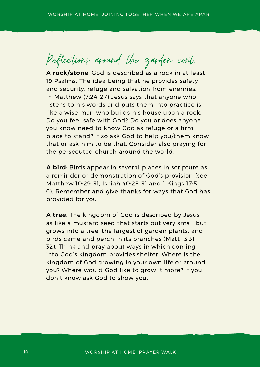Reflections around the garden cont.

**A rock/stone**: God is described as a rock in at least 19 Psalms. The idea being that he provides safety and security, refuge and salvation from enemies. In Matthew (7:24-27) Jesus says that anyone who listens to his words and puts them into practice is like a wise man who builds his house upon a rock. Do you feel safe with God? Do you or does anyone you know need to know God as refuge or a firm place to stand? If so ask God to help you/them know that or ask him to be that. Consider also praying for the persecuted church around the world.

**A bird**: Birds appear in several places in scripture as a reminder or demonstration of God's provision (see Matthew 10:29-31, Isaiah 40:28-31 and 1 Kings 17:5- 6). Remember and give thanks for ways that God has provided for you.

**A tree**: The kingdom of God is described by Jesus as like a mustard seed that starts out very small but grows into a tree, the largest of garden plants, and birds came and perch in its branches (Matt 13:31- 32). Think and pray about ways in which coming into God's kingdom provides shelter. Where is the kingdom of God growing in your own life or around you? Where would God like to grow it more? If you don't know ask God to show you.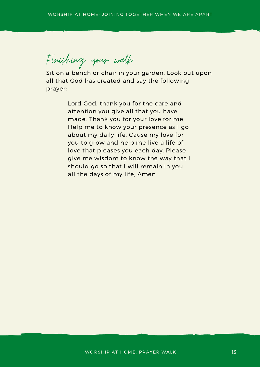Finishing your walk

Sit on a bench or chair in your garden. Look out upon all that God has created and say the following prayer:

> Lord God, thank you for the care and attention you give all that you have made. Thank you for your love for me. Help me to know your presence as I go about my daily life. Cause my love for you to grow and help me live a life of love that pleases you each day. Please give me wisdom to know the way that I should go so that I will remain in you all the days of my life, Amen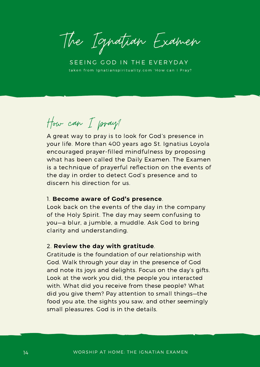The Ignatian Examen

SEEING GOD IN THE EVERYDAY taken from Ignatianspirituality.com 'How can I Pray?

How can I pray?

A great way to pray is to look for God's presence in your life. More than 400 years ago St. Ignatius Loyola encouraged prayer-filled mindfulness by proposing what has been called the Daily Examen. The Examen is a technique of prayerful reflection on the events of the day in order to detect God's presence and to discern his direction for us.

## 1. **Become aware of God's presence**.

Look back on the events of the day in the company of the Holy Spirit. The day may seem confusing to you—a blur, a jumble, a muddle. Ask God to bring clarity and understanding.

# 2. **Review the day with gratitude**.

Gratitude is the foundation of our relationship with God. Walk through your day in the presence of God and note its joys and delights. Focus on the day's gifts. Look at the work you did, the people you interacted with. What did you receive from these people? What did you give them? Pay attention to small things—the food you ate, the sights you saw, and other seemingly small pleasures. God is in the details.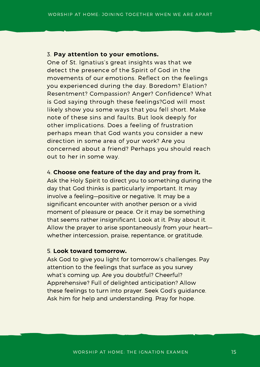#### 3. **Pay attention to your emotions.**

One of St. Ignatius's great insights was that we detect the presence of the Spirit of God in the movements of our emotions. Reflect on the feelings you experienced during the day. Boredom? Elation? Resentment? Compassion? Anger? Confidence? What is God saying through these feelings?God will most likely show you some ways that you fell short. Make note of these sins and faults. But look deeply for other implications. Does a feeling of frustration perhaps mean that God wants you consider a new direction in some area of your work? Are you concerned about a friend? Perhaps you should reach out to her in some way.

## 4. **Choose one feature of the day and pray from it.**

Ask the Holy Spirit to direct you to something during the day that God thinks is particularly important. It may involve a feeling—positive or negative. It may be a significant encounter with another person or a vivid moment of pleasure or peace. Or it may be something that seems rather insignificant. Look at it. Pray about it. Allow the prayer to arise spontaneously from your heart whether intercession, praise, repentance, or gratitude.

# 5. **Look toward tomorrow.**

Ask God to give you light for tomorrow's challenges. Pay attention to the feelings that surface as you survey what's coming up. Are you doubtful? Cheerful? Apprehensive? Full of delighted anticipation? Allow these feelings to turn into prayer. Seek God's guidance. Ask him for help and understanding. Pray for hope.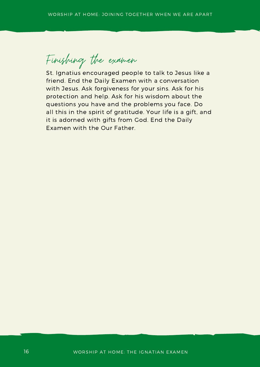Finishing the examen

St. Ignatius encouraged people to talk to Jesus like a friend. End the Daily Examen with a conversation with Jesus. Ask forgiveness for your sins. Ask for his protection and help. Ask for his wisdom about the questions you have and the problems you face. Do all this in the spirit of gratitude. Your life is a gift, and it is adorned with gifts from God. End the Daily Examen with the Our Father.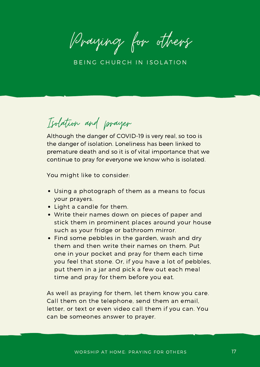Praying for others

BEING CHURCH IN ISOLATION

Isolation and prayer

Although the danger of COVID-19 is very real, so too is the danger of isolation. Loneliness has been linked to premature death and so it is of vital importance that we continue to pray for everyone we know who is isolated.

You might like to consider:

- Using a photograph of them as a means to focus your prayers.
- Light a candle for them.
- Write their names down on pieces of paper and stick them in prominent places around your house such as your fridge or bathroom mirror.
- Find some pebbles in the garden, wash and dry them and then write their names on them. Put one in your pocket and pray for them each time you feel that stone. Or, if you have a lot of pebbles, put them in a jar and pick a few out each meal time and pray for them before you eat.

As well as praying for them, let them know you care. Call them on the telephone, send them an email, letter, or text or even video call them if you can. You can be someones answer to prayer.